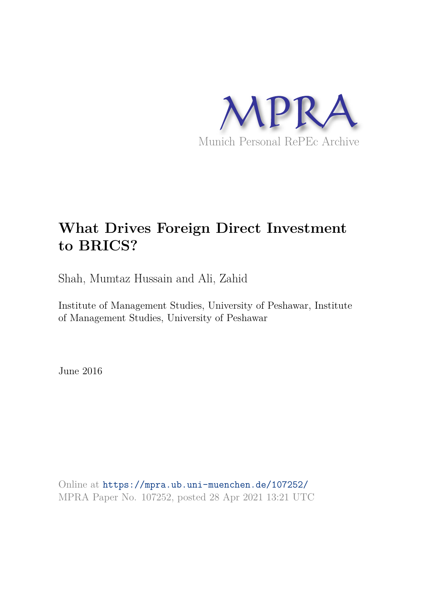

# **What Drives Foreign Direct Investment to BRICS?**

Shah, Mumtaz Hussain and Ali, Zahid

Institute of Management Studies, University of Peshawar, Institute of Management Studies, University of Peshawar

June 2016

Online at https://mpra.ub.uni-muenchen.de/107252/ MPRA Paper No. 107252, posted 28 Apr 2021 13:21 UTC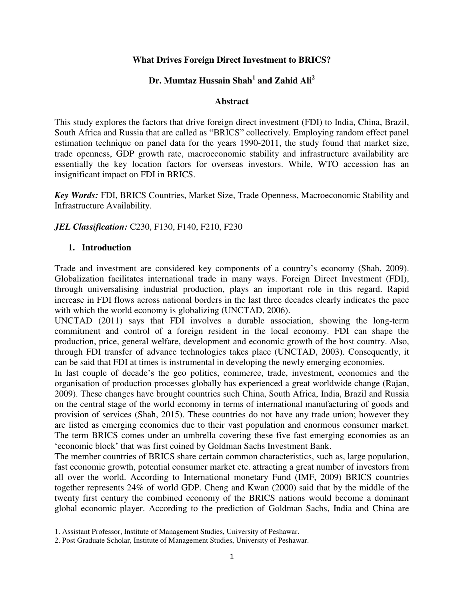## **What Drives Foreign Direct Investment to BRICS?**

# **Dr. Mumtaz Hussain Shah<sup>1</sup> and Zahid Ali<sup>2</sup>**

#### **Abstract**

This study explores the factors that drive foreign direct investment (FDI) to India, China, Brazil, South Africa and Russia that are called as "BRICS" collectively. Employing random effect panel estimation technique on panel data for the years 1990-2011, the study found that market size, trade openness, GDP growth rate, macroeconomic stability and infrastructure availability are essentially the key location factors for overseas investors. While, WTO accession has an insignificant impact on FDI in BRICS.

*Key Words:* FDI, BRICS Countries, Market Size, Trade Openness, Macroeconomic Stability and Infrastructure Availability.

*JEL Classification:* C230, F130, F140, F210, F230

## **1. Introduction**

l

Trade and investment are considered key components of a country's economy (Shah, 2009). Globalization facilitates international trade in many ways. Foreign Direct Investment (FDI), through universalising industrial production, plays an important role in this regard. Rapid increase in FDI flows across national borders in the last three decades clearly indicates the pace with which the world economy is globalizing (UNCTAD, 2006).

UNCTAD (2011) says that FDI involves a durable association, showing the long-term commitment and control of a foreign resident in the local economy. FDI can shape the production, price, general welfare, development and economic growth of the host country. Also, through FDI transfer of advance technologies takes place (UNCTAD, 2003). Consequently, it can be said that FDI at times is instrumental in developing the newly emerging economies.

In last couple of decade's the geo politics, commerce, trade, investment, economics and the organisation of production processes globally has experienced a great worldwide change (Rajan, 2009). These changes have brought countries such China, South Africa, India, Brazil and Russia on the central stage of the world economy in terms of international manufacturing of goods and provision of services (Shah, 2015). These countries do not have any trade union; however they are listed as emerging economics due to their vast population and enormous consumer market. The term BRICS comes under an umbrella covering these five fast emerging economies as an 'economic block' that was first coined by Goldman Sachs Investment Bank.

The member countries of BRICS share certain common characteristics, such as, large population, fast economic growth, potential consumer market etc. attracting a great number of investors from all over the world. According to International monetary Fund (IMF, 2009) BRICS countries together represents 24% of world GDP. Cheng and Kwan (2000) said that by the middle of the twenty first century the combined economy of the BRICS nations would become a dominant global economic player. According to the prediction of Goldman Sachs, India and China are

<sup>1.</sup> Assistant Professor, Institute of Management Studies, University of Peshawar.

<sup>2.</sup> Post Graduate Scholar, Institute of Management Studies, University of Peshawar.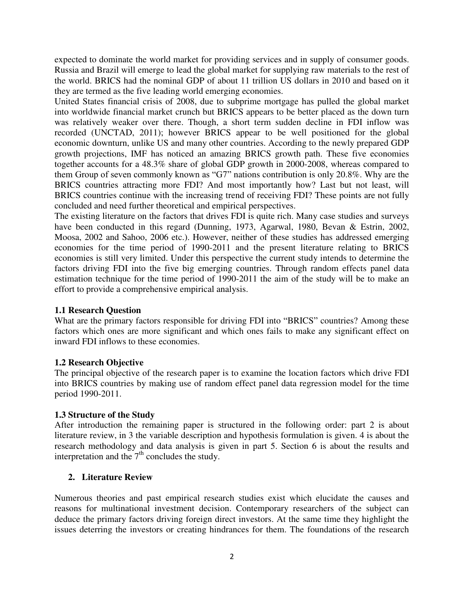expected to dominate the world market for providing services and in supply of consumer goods. Russia and Brazil will emerge to lead the global market for supplying raw materials to the rest of the world. BRICS had the nominal GDP of about 11 trillion US dollars in 2010 and based on it they are termed as the five leading world emerging economies.

United States financial crisis of 2008, due to subprime mortgage has pulled the global market into worldwide financial market crunch but BRICS appears to be better placed as the down turn was relatively weaker over there. Though, a short term sudden decline in FDI inflow was recorded (UNCTAD, 2011); however BRICS appear to be well positioned for the global economic downturn, unlike US and many other countries. According to the newly prepared GDP growth projections, IMF has noticed an amazing BRICS growth path. These five economies together accounts for a 48.3% share of global GDP growth in 2000-2008, whereas compared to them Group of seven commonly known as "G7" nations contribution is only 20.8%. Why are the BRICS countries attracting more FDI? And most importantly how? Last but not least, will BRICS countries continue with the increasing trend of receiving FDI? These points are not fully concluded and need further theoretical and empirical perspectives.

The existing literature on the factors that drives FDI is quite rich. Many case studies and surveys have been conducted in this regard (Dunning, 1973, Agarwal, 1980, Bevan & Estrin, 2002, Moosa, 2002 and Sahoo, 2006 etc.). However, neither of these studies has addressed emerging economies for the time period of 1990-2011 and the present literature relating to BRICS economies is still very limited. Under this perspective the current study intends to determine the factors driving FDI into the five big emerging countries. Through random effects panel data estimation technique for the time period of 1990-2011 the aim of the study will be to make an effort to provide a comprehensive empirical analysis.

# **1.1 Research Question**

What are the primary factors responsible for driving FDI into "BRICS" countries? Among these factors which ones are more significant and which ones fails to make any significant effect on inward FDI inflows to these economies.

# **1.2 Research Objective**

The principal objective of the research paper is to examine the location factors which drive FDI into BRICS countries by making use of random effect panel data regression model for the time period 1990-2011.

# **1.3 Structure of the Study**

After introduction the remaining paper is structured in the following order: part 2 is about literature review, in 3 the variable description and hypothesis formulation is given. 4 is about the research methodology and data analysis is given in part 5. Section 6 is about the results and interpretation and the  $7<sup>th</sup>$  concludes the study.

# **2. Literature Review**

Numerous theories and past empirical research studies exist which elucidate the causes and reasons for multinational investment decision. Contemporary researchers of the subject can deduce the primary factors driving foreign direct investors. At the same time they highlight the issues deterring the investors or creating hindrances for them. The foundations of the research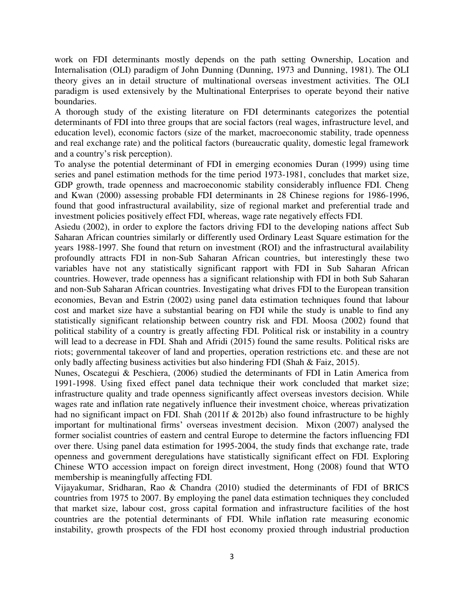work on FDI determinants mostly depends on the path setting Ownership, Location and Internalisation (OLI) paradigm of John Dunning (Dunning, 1973 and Dunning, 1981). The OLI theory gives an in detail structure of multinational overseas investment activities. The OLI paradigm is used extensively by the Multinational Enterprises to operate beyond their native boundaries.

A thorough study of the existing literature on FDI determinants categorizes the potential determinants of FDI into three groups that are social factors (real wages, infrastructure level, and education level), economic factors (size of the market, macroeconomic stability, trade openness and real exchange rate) and the political factors (bureaucratic quality, domestic legal framework and a country's risk perception).

To analyse the potential determinant of FDI in emerging economies Duran (1999) using time series and panel estimation methods for the time period 1973-1981, concludes that market size, GDP growth, trade openness and macroeconomic stability considerably influence FDI. Cheng and Kwan (2000) assessing probable FDI determinants in 28 Chinese regions for 1986-1996, found that good infrastructural availability, size of regional market and preferential trade and investment policies positively effect FDI, whereas, wage rate negatively effects FDI.

Asiedu (2002), in order to explore the factors driving FDI to the developing nations affect Sub Saharan African countries similarly or differently used Ordinary Least Square estimation for the years 1988-1997. She found that return on investment (ROI) and the infrastructural availability profoundly attracts FDI in non-Sub Saharan African countries, but interestingly these two variables have not any statistically significant rapport with FDI in Sub Saharan African countries. However, trade openness has a significant relationship with FDI in both Sub Saharan and non-Sub Saharan African countries. Investigating what drives FDI to the European transition economies, Bevan and Estrin (2002) using panel data estimation techniques found that labour cost and market size have a substantial bearing on FDI while the study is unable to find any statistically significant relationship between country risk and FDI. Moosa (2002) found that political stability of a country is greatly affecting FDI. Political risk or instability in a country will lead to a decrease in FDI. Shah and Afridi (2015) found the same results. Political risks are riots; governmental takeover of land and properties, operation restrictions etc. and these are not only badly affecting business activities but also hindering FDI (Shah & Faiz, 2015).

Nunes, Oscategui & Peschiera, (2006) studied the determinants of FDI in Latin America from 1991-1998. Using fixed effect panel data technique their work concluded that market size; infrastructure quality and trade openness significantly affect overseas investors decision. While wages rate and inflation rate negatively influence their investment choice, whereas privatization had no significant impact on FDI. Shah (2011f & 2012b) also found infrastructure to be highly important for multinational firms' overseas investment decision. Mixon (2007) analysed the former socialist countries of eastern and central Europe to determine the factors influencing FDI over there. Using panel data estimation for 1995-2004, the study finds that exchange rate, trade openness and government deregulations have statistically significant effect on FDI. Exploring Chinese WTO accession impact on foreign direct investment, Hong (2008) found that WTO membership is meaningfully affecting FDI.

Vijayakumar, Sridharan, Rao & Chandra (2010) studied the determinants of FDI of BRICS countries from 1975 to 2007. By employing the panel data estimation techniques they concluded that market size, labour cost, gross capital formation and infrastructure facilities of the host countries are the potential determinants of FDI. While inflation rate measuring economic instability, growth prospects of the FDI host economy proxied through industrial production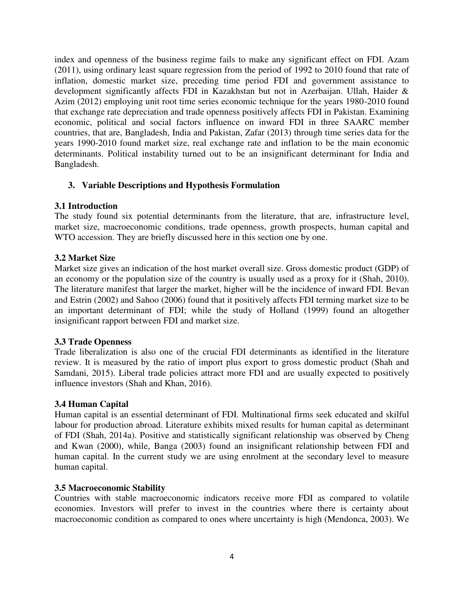index and openness of the business regime fails to make any significant effect on FDI. Azam (2011), using ordinary least square regression from the period of 1992 to 2010 found that rate of inflation, domestic market size, preceding time period FDI and government assistance to development significantly affects FDI in Kazakhstan but not in Azerbaijan. Ullah, Haider & Azim (2012) employing unit root time series economic technique for the years 1980-2010 found that exchange rate depreciation and trade openness positively affects FDI in Pakistan. Examining economic, political and social factors influence on inward FDI in three SAARC member countries, that are, Bangladesh, India and Pakistan, Zafar (2013) through time series data for the years 1990-2010 found market size, real exchange rate and inflation to be the main economic determinants. Political instability turned out to be an insignificant determinant for India and Bangladesh.

# **3. Variable Descriptions and Hypothesis Formulation**

## **3.1 Introduction**

The study found six potential determinants from the literature, that are, infrastructure level, market size, macroeconomic conditions, trade openness, growth prospects, human capital and WTO accession. They are briefly discussed here in this section one by one.

## **3.2 Market Size**

Market size gives an indication of the host market overall size. Gross domestic product (GDP) of an economy or the population size of the country is usually used as a proxy for it (Shah, 2010). The literature manifest that larger the market, higher will be the incidence of inward FDI. Bevan and Estrin (2002) and Sahoo (2006) found that it positively affects FDI terming market size to be an important determinant of FDI; while the study of Holland (1999) found an altogether insignificant rapport between FDI and market size.

# **3.3 Trade Openness**

Trade liberalization is also one of the crucial FDI determinants as identified in the literature review. It is measured by the ratio of import plus export to gross domestic product (Shah and Samdani, 2015). Liberal trade policies attract more FDI and are usually expected to positively influence investors (Shah and Khan, 2016).

# **3.4 Human Capital**

Human capital is an essential determinant of FDI. Multinational firms seek educated and skilful labour for production abroad. Literature exhibits mixed results for human capital as determinant of FDI (Shah, 2014a). Positive and statistically significant relationship was observed by Cheng and Kwan (2000), while, Banga (2003) found an insignificant relationship between FDI and human capital. In the current study we are using enrolment at the secondary level to measure human capital.

## **3.5 Macroeconomic Stability**

Countries with stable macroeconomic indicators receive more FDI as compared to volatile economies. Investors will prefer to invest in the countries where there is certainty about macroeconomic condition as compared to ones where uncertainty is high (Mendonca, 2003). We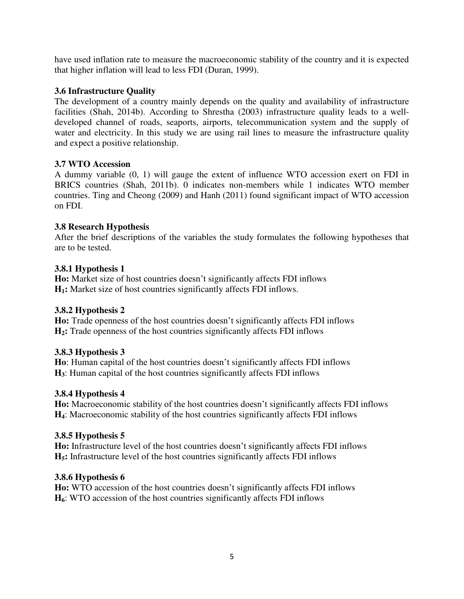have used inflation rate to measure the macroeconomic stability of the country and it is expected that higher inflation will lead to less FDI (Duran, 1999).

## **3.6 Infrastructure Quality**

The development of a country mainly depends on the quality and availability of infrastructure facilities (Shah, 2014b). According to Shrestha (2003) infrastructure quality leads to a welldeveloped channel of roads, seaports, airports, telecommunication system and the supply of water and electricity. In this study we are using rail lines to measure the infrastructure quality and expect a positive relationship.

## **3.7 WTO Accession**

A dummy variable (0, 1) will gauge the extent of influence WTO accession exert on FDI in BRICS countries (Shah, 2011b). 0 indicates non-members while 1 indicates WTO member countries. Ting and Cheong (2009) and Hanh (2011) found significant impact of WTO accession on FDI.

## **3.8 Research Hypothesis**

After the brief descriptions of the variables the study formulates the following hypotheses that are to be tested.

## **3.8.1 Hypothesis 1**

**Ho:** Market size of host countries doesn't significantly affects FDI inflows **H1:** Market size of host countries significantly affects FDI inflows.

# **3.8.2 Hypothesis 2**

**Ho:** Trade openness of the host countries doesn't significantly affects FDI inflows **H2:** Trade openness of the host countries significantly affects FDI inflows

## **3.8.3 Hypothesis 3**

**Ho**: Human capital of the host countries doesn't significantly affects FDI inflows **H3**: Human capital of the host countries significantly affects FDI inflows

# **3.8.4 Hypothesis 4**

**Ho:** Macroeconomic stability of the host countries doesn't significantly affects FDI inflows **H4**: Macroeconomic stability of the host countries significantly affects FDI inflows

## **3.8.5 Hypothesis 5**

**Ho:** Infrastructure level of the host countries doesn't significantly affects FDI inflows **H5:** Infrastructure level of the host countries significantly affects FDI inflows

## **3.8.6 Hypothesis 6**

**Ho:** WTO accession of the host countries doesn't significantly affects FDI inflows **H6**: WTO accession of the host countries significantly affects FDI inflows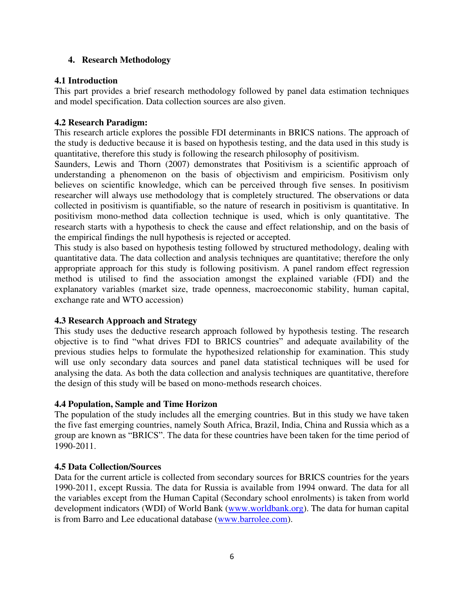## **4. Research Methodology**

## **4.1 Introduction**

This part provides a brief research methodology followed by panel data estimation techniques and model specification. Data collection sources are also given.

## **4.2 Research Paradigm:**

This research article explores the possible FDI determinants in BRICS nations. The approach of the study is deductive because it is based on hypothesis testing, and the data used in this study is quantitative, therefore this study is following the research philosophy of positivism.

Saunders, Lewis and Thorn (2007) demonstrates that Positivism is a scientific approach of understanding a phenomenon on the basis of objectivism and empiricism. Positivism only believes on scientific knowledge, which can be perceived through five senses. In positivism researcher will always use methodology that is completely structured. The observations or data collected in positivism is quantifiable, so the nature of research in positivism is quantitative. In positivism mono-method data collection technique is used, which is only quantitative. The research starts with a hypothesis to check the cause and effect relationship, and on the basis of the empirical findings the null hypothesis is rejected or accepted.

This study is also based on hypothesis testing followed by structured methodology, dealing with quantitative data. The data collection and analysis techniques are quantitative; therefore the only appropriate approach for this study is following positivism. A panel random effect regression method is utilised to find the association amongst the explained variable (FDI) and the explanatory variables (market size, trade openness, macroeconomic stability, human capital, exchange rate and WTO accession)

# **4.3 Research Approach and Strategy**

This study uses the deductive research approach followed by hypothesis testing. The research objective is to find "what drives FDI to BRICS countries" and adequate availability of the previous studies helps to formulate the hypothesized relationship for examination. This study will use only secondary data sources and panel data statistical techniques will be used for analysing the data. As both the data collection and analysis techniques are quantitative, therefore the design of this study will be based on mono-methods research choices.

## **4.4 Population, Sample and Time Horizon**

The population of the study includes all the emerging countries. But in this study we have taken the five fast emerging countries, namely South Africa, Brazil, India, China and Russia which as a group are known as "BRICS". The data for these countries have been taken for the time period of 1990-2011.

## **4.5 Data Collection/Sources**

Data for the current article is collected from secondary sources for BRICS countries for the years 1990-2011, except Russia. The data for Russia is available from 1994 onward. The data for all the variables except from the Human Capital (Secondary school enrolments) is taken from world development indicators (WDI) of World Bank [\(www.worldbank.org\)](http://www.worldbank.org/). The data for human capital is from Barro and Lee educational database [\(www.barrolee.com\)](http://www.barrolee.com/).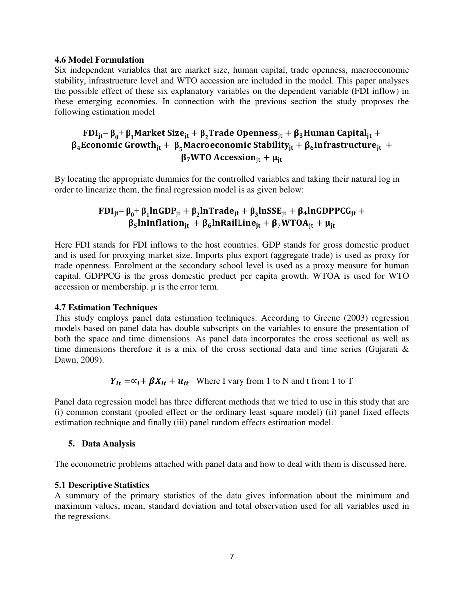#### **4.6 Model Formulation**

Six independent variables that are market size, human capital, trade openness, macroeconomic stability, infrastructure level and WTO accession are included in the model. This paper analyses the possible effect of these six explanatory variables on the dependent variable (FDI inflow) in these emerging economies. In connection with the previous section the study proposes the following estimation model

# $\text{FDI}_{\text{jt}}\text{=}\beta_0\text{+}\beta_1\text{Market Size}_{\text{jt}} + \beta_2\text{Trade Openness}_{\text{jt}} + \beta_3\text{Human Capital}_{\text{jt}} + \beta_4\text{Total}_{\text{jt}} + \beta_5\text{Total}_{\text{jt}} + \beta_6\text{Total}_{\text{jt}} + \beta_7\text{Total}_{\text{jt}} + \beta_8\text{Total}_{\text{jt}} + \beta_9\text{Total}_{\text{jt}} + \beta_9\text{Total}_{\text{jt}} + \beta_9\text{Total}_{\text{jt}} + \beta_9\text{Total}_{\text{jt}} + \beta_9\text{Total}_{\text{jt$  $\beta_4$ Economic Growth<sub>it</sub> +  $\beta_5$ Macroeconomic Stability<sub>it</sub> +  $\beta_6$ Infrastructure<sub>it</sub> +  $\beta_7$ WTO Accession<sub>it</sub> +  $\mu$ <sub>it</sub>

By locating the appropriate dummies for the controlled variables and taking their natural log in order to linearize them, the final regression model is as given below:

# $\text{FDI}_{\text{jt}} = \beta_0 + \beta_1 \text{lnGDP}_{\text{jt}} + \beta_2 \text{lnTrace}_{\text{jt}} + \beta_3 \text{lnSSE}_{\text{jt}} + \beta_4 \text{lnGDPPCG}_{\text{jt}} + \beta_5 \text{lnGDPPCG}_{\text{jt}} + \beta_6 \text{lnGDPPCG}_{\text{jt}} + \beta_7 \text{lnGDP}_{\text{jt}} + \beta_8 \text{lnGDPPCG}_{\text{jt}} + \beta_9 \text{lnGDP}_{\text{jt}} + \beta_9 \text{lnGDP}_{\text{jt}} + \beta_9 \text{lnGDP}_{\text{jt}} + \beta_9 \text{lnG$  $\beta_5$ InInflation<sub>it</sub> +  $\beta_6$ InRailLine<sub>it</sub> +  $\beta_7$ WTOA<sub>it</sub> +  $\mu_{it}$

Here FDI stands for FDI inflows to the host countries. GDP stands for gross domestic product and is used for proxying market size. Imports plus export (aggregate trade) is used as proxy for trade openness. Enrolment at the secondary school level is used as a proxy measure for human capital. GDPPCG is the gross domestic product per capita growth. WTOA is used for WTO accession or membership. µ is the error term.

## **4.7 Estimation Techniques**

This study employs panel data estimation techniques. According to Greene (2003) regression models based on panel data has double subscripts on the variables to ensure the presentation of both the space and time dimensions. As panel data incorporates the cross sectional as well as time dimensions therefore it is a mix of the cross sectional data and time series (Gujarati  $\&$ Dawn, 2009).

 $Y_{it} = \alpha_i + \beta X_{it} + u_{it}$  Where I vary from 1 to N and t from 1 to T

Panel data regression model has three different methods that we tried to use in this study that are (i) common constant (pooled effect or the ordinary least square model) (ii) panel fixed effects estimation technique and finally (iii) panel random effects estimation model.

## **5. Data Analysis**

The econometric problems attached with panel data and how to deal with them is discussed here.

## **5.1 Descriptive Statistics**

A summary of the primary statistics of the data gives information about the minimum and maximum values, mean, standard deviation and total observation used for all variables used in the regressions.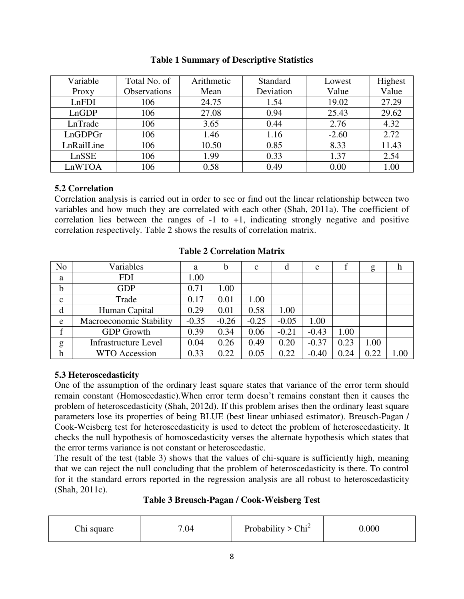| Variable   | Total No. of        | Arithmetic | Standard  | Lowest  | Highest |
|------------|---------------------|------------|-----------|---------|---------|
| Proxy      | <b>Observations</b> | Mean       | Deviation | Value   | Value   |
| LnFDI      | 106                 | 24.75      | 1.54      | 19.02   | 27.29   |
| LnGDP      | 106                 | 27.08      | 0.94      | 25.43   | 29.62   |
| LnTrade    | 106                 | 3.65       | 0.44      | 2.76    | 4.32    |
| LnGDPGr    | 106                 | 1.46       | 1.16      | $-2.60$ | 2.72    |
| LnRailLine | 106                 | 10.50      | 0.85      | 8.33    | 11.43   |
| LnSSE      | 106                 | 1.99       | 0.33      | 1.37    | 2.54    |
| LnWTOA     | 106                 | 0.58       | 0.49      | 0.00    | 1.00    |

## **Table 1 Summary of Descriptive Statistics**

## **5.2 Correlation**

Correlation analysis is carried out in order to see or find out the linear relationship between two variables and how much they are correlated with each other (Shah, 2011a). The coefficient of correlation lies between the ranges of -1 to +1, indicating strongly negative and positive correlation respectively. Table 2 shows the results of correlation matrix.

| N <sub>o</sub> | Variables                   | a       | b       | $\mathbf c$ | d       | e       |      | g    | n    |
|----------------|-----------------------------|---------|---------|-------------|---------|---------|------|------|------|
| a              | <b>FDI</b>                  | 1.00    |         |             |         |         |      |      |      |
| b              | <b>GDP</b>                  | 0.71    | 1.00    |             |         |         |      |      |      |
| $\mathbf{C}$   | Trade                       | 0.17    | 0.01    | 1.00        |         |         |      |      |      |
| d              | Human Capital               | 0.29    | 0.01    | 0.58        | 1.00    |         |      |      |      |
| e              | Macroeconomic Stability     | $-0.35$ | $-0.26$ | $-0.25$     | $-0.05$ | 1.00    |      |      |      |
|                | <b>GDP</b> Growth           | 0.39    | 0.34    | 0.06        | $-0.21$ | $-0.43$ | 1.00 |      |      |
| g              | <b>Infrastructure Level</b> | 0.04    | 0.26    | 0.49        | 0.20    | $-0.37$ | 0.23 | 1.00 |      |
| h              | Accession                   | 0.33    | 0.22    | 0.05        | 0.22    | $-0.40$ | 0.24 | 0.22 | 1.00 |

**Table 2 Correlation Matrix** 

# **5.3 Heteroscedasticity**

One of the assumption of the ordinary least square states that variance of the error term should remain constant (Homoscedastic).When error term doesn't remains constant then it causes the problem of heteroscedasticity (Shah, 2012d). If this problem arises then the ordinary least square parameters lose its properties of being BLUE (best linear unbiased estimator). Breusch-Pagan / Cook-Weisberg test for heteroscedasticity is used to detect the problem of heteroscedasticity. It checks the null hypothesis of homoscedasticity verses the alternate hypothesis which states that the error terms variance is not constant or heteroscedastic.

The result of the test (table 3) shows that the values of chi-square is sufficiently high, meaning that we can reject the null concluding that the problem of heteroscedasticity is there. To control for it the standard errors reported in the regression analysis are all robust to heteroscedasticity (Shah, 2011c).

# **Table 3 Breusch-Pagan / Cook-Weisberg Test**

| Chi square | .04 | Probability $> 0$<br>$Chi^2$ | 0.000 |
|------------|-----|------------------------------|-------|
|------------|-----|------------------------------|-------|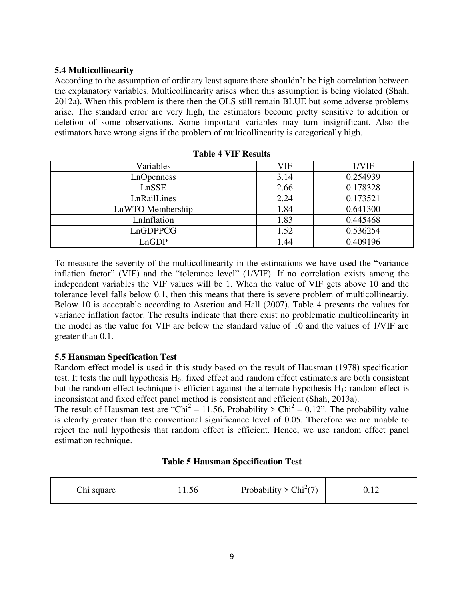## **5.4 Multicollinearity**

According to the assumption of ordinary least square there shouldn't be high correlation between the explanatory variables. Multicollinearity arises when this assumption is being violated (Shah, 2012a). When this problem is there then the OLS still remain BLUE but some adverse problems arise. The standard error are very high, the estimators become pretty sensitive to addition or deletion of some observations. Some important variables may turn insignificant. Also the estimators have wrong signs if the problem of multicollinearity is categorically high.

| Variables        | VIF  | 1/VIF    |
|------------------|------|----------|
| LnOpenness       | 3.14 | 0.254939 |
| LnSSE            | 2.66 | 0.178328 |
| LnRailLines      | 2.24 | 0.173521 |
| LnWTO Membership | 1.84 | 0.641300 |
| LnInflation      | 1.83 | 0.445468 |
| LnGDPPCG         | 1.52 | 0.536254 |
| LnGDP            | 1.44 | 0.409196 |

**Table 4 VIF Results**

To measure the severity of the multicollinearity in the estimations we have used the "variance inflation factor" (VIF) and the "tolerance level" (1/VIF). If no correlation exists among the independent variables the VIF values will be 1. When the value of VIF gets above 10 and the tolerance level falls below 0.1, then this means that there is severe problem of multicollineartiy. Below 10 is acceptable according to Asteriou and Hall (2007). Table 4 presents the values for variance inflation factor. The results indicate that there exist no problematic multicollinearity in the model as the value for VIF are below the standard value of 10 and the values of 1/VIF are greater than 0.1.

# **5.5 Hausman Specification Test**

Random effect model is used in this study based on the result of Hausman (1978) specification test. It tests the null hypothesis  $H_0$ : fixed effect and random effect estimators are both consistent but the random effect technique is efficient against the alternate hypothesis  $H_1$ : random effect is inconsistent and fixed effect panel method is consistent and efficient (Shah, 2013a).

The result of Hausman test are "Chi<sup>2</sup> = 11.56, Probability > Chi<sup>2</sup> = 0.12". The probability value is clearly greater than the conventional significance level of 0.05. Therefore we are unable to reject the null hypothesis that random effect is efficient. Hence, we use random effect panel estimation technique.

| Chi square | 11.56 | Probability > $Chi^2(7)$ | 1 <sup>2</sup><br>∪.⊥∠ |
|------------|-------|--------------------------|------------------------|
|------------|-------|--------------------------|------------------------|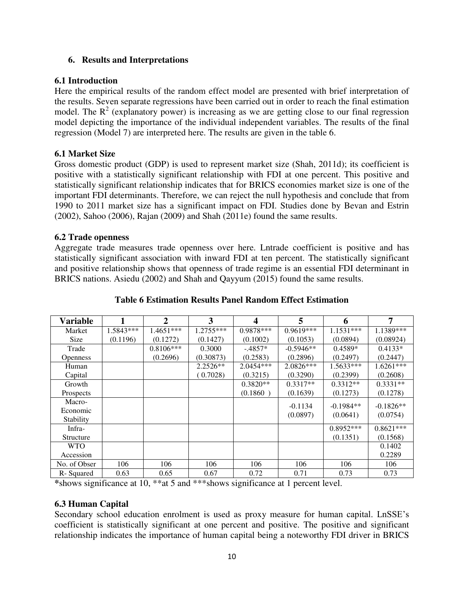## **6. Results and Interpretations**

## **6.1 Introduction**

Here the empirical results of the random effect model are presented with brief interpretation of the results. Seven separate regressions have been carried out in order to reach the final estimation model. The  $R^2$  (explanatory power) is increasing as we are getting close to our final regression model depicting the importance of the individual independent variables. The results of the final regression (Model 7) are interpreted here. The results are given in the table 6.

## **6.1 Market Size**

Gross domestic product (GDP) is used to represent market size (Shah, 2011d); its coefficient is positive with a statistically significant relationship with FDI at one percent. This positive and statistically significant relationship indicates that for BRICS economies market size is one of the important FDI determinants. Therefore, we can reject the null hypothesis and conclude that from 1990 to 2011 market size has a significant impact on FDI. Studies done by Bevan and Estrin (2002), Sahoo (2006), Rajan (2009) and Shah (2011e) found the same results.

## **6.2 Trade openness**

Aggregate trade measures trade openness over here. Lntrade coefficient is positive and has statistically significant association with inward FDI at ten percent. The statistically significant and positive relationship shows that openness of trade regime is an essential FDI determinant in BRICS nations. Asiedu (2002) and Shah and Qayyum (2015) found the same results.

| <b>Variable</b> | 1         | $\mathbf{2}$ | 3           | 4           | 5           | 6           | 7           |
|-----------------|-----------|--------------|-------------|-------------|-------------|-------------|-------------|
| Market          | 1.5843*** | $1.4651***$  | $1.2755***$ | $0.9878***$ | 0.9619***   | $1.1531***$ | 1.1389***   |
| Size            | (0.1196)  | (0.1272)     | (0.1427)    | (0.1002)    | (0.1053)    | (0.0894)    | (0.08924)   |
| Trade           |           | $0.8106***$  | 0.3000      | $-.4857*$   | $-0.5946**$ | $0.4589*$   | $0.4133*$   |
| <b>Openness</b> |           | (0.2696)     | (0.30873)   | (0.2583)    | (0.2896)    | (0.2497)    | (0.2447)    |
| Human           |           |              | $2.2526**$  | $2.0454***$ | $2.0826***$ | $1.5633***$ | $1.6261***$ |
| Capital         |           |              | (0.7028)    | (0.3215)    | (0.3290)    | (0.2399)    | (0.2608)    |
| Growth          |           |              |             | $0.3820**$  | $0.3317**$  | $0.3312**$  | $0.3331**$  |
| Prospects       |           |              |             | (0.1860)    | (0.1639)    | (0.1273)    | (0.1278)    |
| Macro-          |           |              |             |             | $-0.1134$   | $-0.1984**$ | $-0.1826**$ |
| Economic        |           |              |             |             | (0.0897)    | (0.0641)    | (0.0754)    |
| Stability       |           |              |             |             |             |             |             |
| Infra-          |           |              |             |             |             | $0.8952***$ | $0.8621***$ |
| Structure       |           |              |             |             |             | (0.1351)    | (0.1568)    |
| <b>WTO</b>      |           |              |             |             |             |             | 0.1402      |
| Accession       |           |              |             |             |             |             | 0.2289      |
| No. of Obser    | 106       | 106          | 106         | 106         | 106         | 106         | 106         |
| R-Squared       | 0.63      | 0.65         | 0.67        | 0.72        | 0.71        | 0.73        | 0.73        |

# **Table 6 Estimation Results Panel Random Effect Estimation**

**\***shows significance at 10, \*\*at 5 and \*\*\*shows significance at 1 percent level.

# **6.3 Human Capital**

Secondary school education enrolment is used as proxy measure for human capital. LnSSE's coefficient is statistically significant at one percent and positive. The positive and significant relationship indicates the importance of human capital being a noteworthy FDI driver in BRICS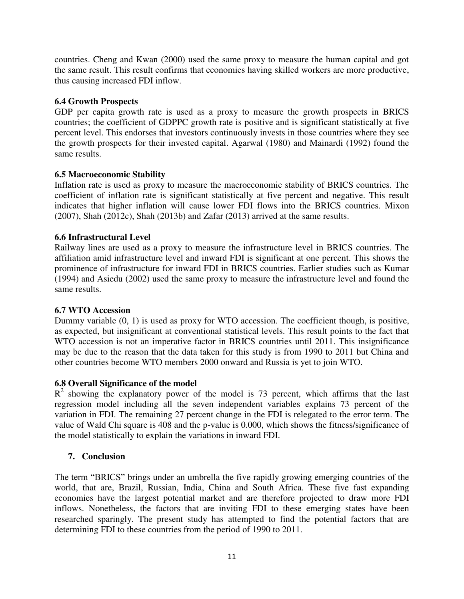countries. Cheng and Kwan (2000) used the same proxy to measure the human capital and got the same result. This result confirms that economies having skilled workers are more productive, thus causing increased FDI inflow.

# **6.4 Growth Prospects**

GDP per capita growth rate is used as a proxy to measure the growth prospects in BRICS countries; the coefficient of GDPPC growth rate is positive and is significant statistically at five percent level. This endorses that investors continuously invests in those countries where they see the growth prospects for their invested capital. Agarwal (1980) and Mainardi (1992) found the same results.

# **6.5 Macroeconomic Stability**

Inflation rate is used as proxy to measure the macroeconomic stability of BRICS countries. The coefficient of inflation rate is significant statistically at five percent and negative. This result indicates that higher inflation will cause lower FDI flows into the BRICS countries. Mixon (2007), Shah (2012c), Shah (2013b) and Zafar (2013) arrived at the same results.

# **6.6 Infrastructural Level**

Railway lines are used as a proxy to measure the infrastructure level in BRICS countries. The affiliation amid infrastructure level and inward FDI is significant at one percent. This shows the prominence of infrastructure for inward FDI in BRICS countries. Earlier studies such as Kumar (1994) and Asiedu (2002) used the same proxy to measure the infrastructure level and found the same results.

# **6.7 WTO Accession**

Dummy variable (0, 1) is used as proxy for WTO accession. The coefficient though, is positive, as expected, but insignificant at conventional statistical levels. This result points to the fact that WTO accession is not an imperative factor in BRICS countries until 2011. This insignificance may be due to the reason that the data taken for this study is from 1990 to 2011 but China and other countries become WTO members 2000 onward and Russia is yet to join WTO.

# **6.8 Overall Significance of the model**

 $R<sup>2</sup>$  showing the explanatory power of the model is 73 percent, which affirms that the last regression model including all the seven independent variables explains 73 percent of the variation in FDI. The remaining 27 percent change in the FDI is relegated to the error term. The value of Wald Chi square is 408 and the p-value is 0.000, which shows the fitness/significance of the model statistically to explain the variations in inward FDI.

# **7. Conclusion**

The term "BRICS" brings under an umbrella the five rapidly growing emerging countries of the world, that are, Brazil, Russian, India, China and South Africa. These five fast expanding economies have the largest potential market and are therefore projected to draw more FDI inflows. Nonetheless, the factors that are inviting FDI to these emerging states have been researched sparingly. The present study has attempted to find the potential factors that are determining FDI to these countries from the period of 1990 to 2011.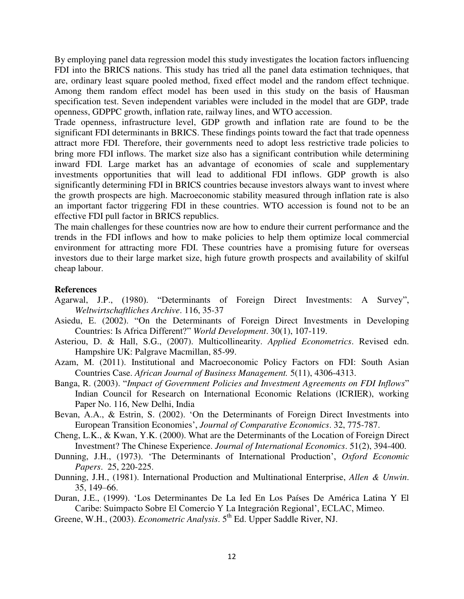By employing panel data regression model this study investigates the location factors influencing FDI into the BRICS nations. This study has tried all the panel data estimation techniques, that are, ordinary least square pooled method, fixed effect model and the random effect technique. Among them random effect model has been used in this study on the basis of Hausman specification test. Seven independent variables were included in the model that are GDP, trade openness, GDPPC growth, inflation rate, railway lines, and WTO accession.

Trade openness, infrastructure level, GDP growth and inflation rate are found to be the significant FDI determinants in BRICS. These findings points toward the fact that trade openness attract more FDI. Therefore, their governments need to adopt less restrictive trade policies to bring more FDI inflows. The market size also has a significant contribution while determining inward FDI. Large market has an advantage of economies of scale and supplementary investments opportunities that will lead to additional FDI inflows. GDP growth is also significantly determining FDI in BRICS countries because investors always want to invest where the growth prospects are high. Macroeconomic stability measured through inflation rate is also an important factor triggering FDI in these countries. WTO accession is found not to be an effective FDI pull factor in BRICS republics.

The main challenges for these countries now are how to endure their current performance and the trends in the FDI inflows and how to make policies to help them optimize local commercial environment for attracting more FDI. These countries have a promising future for overseas investors due to their large market size, high future growth prospects and availability of skilful cheap labour.

#### **References**

- Agarwal, J.P., (1980). "Determinants of Foreign Direct Investments: A Survey", *Weltwirtschaftliches Archive*. 116, 35-37
- Asiedu, E. (2002). "On the Determinants of Foreign Direct Investments in Developing Countries: Is Africa Different?" *World Development*. 30(1), 107-119.
- Asteriou, D. & Hall, S.G., (2007). Multicollinearity. *Applied Econometrics*. Revised edn. Hampshire UK: Palgrave Macmillan, 85-99.
- Azam, M. (2011). Institutional and Macroeconomic Policy Factors on FDI: South Asian Countries Case. *African Journal of Business Management.* 5(11), 4306-4313.
- Banga, R. (2003). "*Impact of Government Policies and Investment Agreements on FDI Inflows*" Indian Council for Research on International Economic Relations (ICRIER), working Paper No. 116, New Delhi, India
- Bevan, A.A., & Estrin, S. (2002). 'On the Determinants of Foreign Direct Investments into European Transition Economies', *Journal of Comparative Economics*. 32, 775-787.
- Cheng, L.K., & Kwan, Y.K. (2000). What are the Determinants of the Location of Foreign Direct Investment? The Chinese Experience. *Journal of International Economics*. 51(2), 394-400.
- Dunning, J.H., (1973). 'The Determinants of International Production', *Oxford Economic Papers*. 25, 220-225.
- Dunning, J.H., (1981). International Production and Multinational Enterprise, *Allen & Unwin*. 35, 149–66.
- Duran, J.E., (1999). 'Los Determinantes De La Ied En Los Países De América Latina Y El Caribe: Suimpacto Sobre El Comercio Y La Integración Regional', ECLAC, Mimeo.
- Greene, W.H., (2003). *Econometric Analysis*. 5<sup>th</sup> Ed. Upper Saddle River, NJ.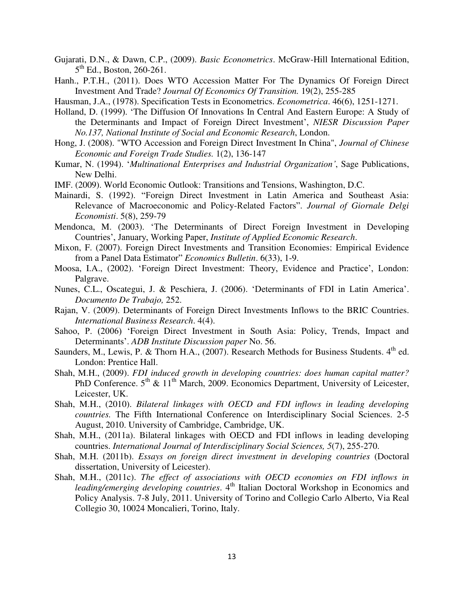- Gujarati, D.N., & Dawn, C.P., (2009). *Basic Econometrics*. McGraw-Hill International Edition, 5<sup>th</sup> Ed., Boston, 260-261.
- Hanh., P.T.H., (2011). Does WTO Accession Matter For The Dynamics Of Foreign Direct Investment And Trade? *Journal Of Economics Of Transition.* 19(2), 255-285
- Hausman, J.A., (1978). Specification Tests in Econometrics. *Econometrica*. 46(6), 1251-1271.
- Holland, D. (1999). 'The Diffusion Of Innovations In Central And Eastern Europe: A Study of the Determinants and Impact of Foreign Direct Investment', *NIESR Discussion Paper No.137, National Institute of Social and Economic Research*, London.
- Hong, J. (2008). "WTO Accession and Foreign Direct Investment In China", *Journal of Chinese Economic and Foreign Trade Studies.* 1(2), 136-147
- Kumar, N. (1994). '*Multinational Enterprises and Industrial Organization'*, Sage Publications, New Delhi.
- IMF. (2009). World Economic Outlook: Transitions and Tensions, Washington, D.C.
- Mainardi, S. (1992). "Foreign Direct Investment in Latin America and Southeast Asia: Relevance of Macroeconomic and Policy-Related Factors". *Journal of Giornale Delgi Economisti*. 5(8), 259-79
- Mendonca, M. (2003). 'The Determinants of Direct Foreign Investment in Developing Countries', January, Working Paper, *Institute of Applied Economic Research*.
- Mixon, F. (2007). Foreign Direct Investments and Transition Economies: Empirical Evidence from a Panel Data Estimator" *Economics Bulletin*. 6(33), 1-9.
- Moosa, I.A., (2002). 'Foreign Direct Investment: Theory, Evidence and Practice', London: Palgrave.
- Nunes, C.L., Oscategui, J. & Peschiera, J. (2006). 'Determinants of FDI in Latin America'. *Documento De Trabajo,* 252.
- Rajan, V. (2009). Determinants of Foreign Direct Investments Inflows to the BRIC Countries. *International Business Research*. 4(4).
- Sahoo, P. (2006) 'Foreign Direct Investment in South Asia: Policy, Trends, Impact and Determinants'. *ADB Institute Discussion paper* No. 56.
- Saunders, M., Lewis, P. & Thorn H.A., (2007). Research Methods for Business Students.  $4<sup>th</sup>$  ed. London: Prentice Hall.
- Shah, M.H., (2009). *FDI induced growth in developing countries: does human capital matter?*  PhD Conference.  $5<sup>th</sup>$  &  $11<sup>th</sup>$  March, 2009. Economics Department, University of Leicester, Leicester, UK.
- Shah, M.H., (2010). *Bilateral linkages with OECD and FDI inflows in leading developing countries.* The Fifth International Conference on Interdisciplinary Social Sciences. 2-5 August, 2010. University of Cambridge, Cambridge, UK.
- Shah, M.H., (2011a). Bilateral linkages with OECD and FDI inflows in leading developing countries. *International Journal of Interdisciplinary Social Sciences, 5*(7), 255-270.
- Shah, M.H. (2011b). *Essays on foreign direct investment in developing countries* (Doctoral dissertation, University of Leicester).
- Shah, M.H., (2011c). *The effect of associations with OECD economies on FDI inflows in leading/emerging developing countries*. 4<sup>th</sup> Italian Doctoral Workshop in Economics and Policy Analysis. 7-8 July, 2011. University of Torino and Collegio Carlo Alberto, Via Real Collegio 30, 10024 Moncalieri, Torino, Italy.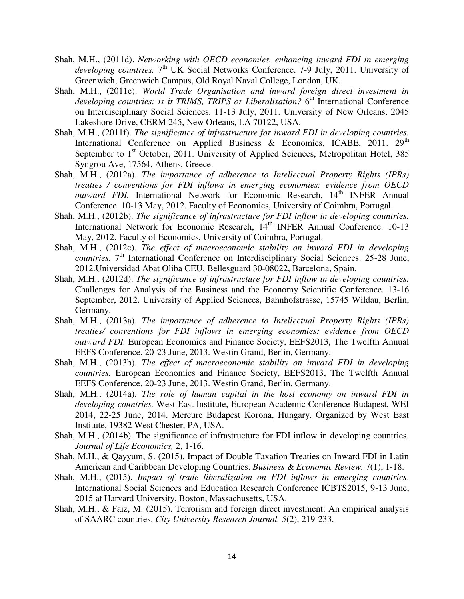- Shah, M.H., (2011d). *Networking with OECD economies, enhancing inward FDI in emerging developing countries.*  $7<sup>th</sup>$  UK Social Networks Conference. 7-9 July, 2011. University of Greenwich, Greenwich Campus, Old Royal Naval College, London, UK.
- Shah, M.H., (2011e). *World Trade Organisation and inward foreign direct investment in developing countries: is it TRIMS, TRIPS or Liberalisation?* 6<sup>th</sup> International Conference on Interdisciplinary Social Sciences. 11-13 July, 2011. University of New Orleans, 2045 Lakeshore Drive, CERM 245, New Orleans, LA 70122, USA.
- Shah, M.H., (2011f). *The significance of infrastructure for inward FDI in developing countries.* International Conference on Applied Business & Economics, ICABE, 2011.  $29<sup>th</sup>$ September to 1<sup>st</sup> October, 2011. University of Applied Sciences, Metropolitan Hotel, 385 Syngrou Ave, 17564, Athens, Greece.
- Shah, M.H., (2012a). *The importance of adherence to Intellectual Property Rights (IPRs) treaties / conventions for FDI inflows in emerging economies: evidence from OECD outward FDI*. International Network for Economic Research, 14<sup>th</sup> INFER Annual Conference. 10-13 May, 2012. Faculty of Economics, University of Coimbra, Portugal.
- Shah, M.H., (2012b). *The significance of infrastructure for FDI inflow in developing countries.* International Network for Economic Research, 14<sup>th</sup> INFER Annual Conference. 10-13 May, 2012. Faculty of Economics, University of Coimbra, Portugal.
- Shah, M.H., (2012c). *The effect of macroeconomic stability on inward FDI in developing countries.*  $7<sup>th</sup>$  International Conference on Interdisciplinary Social Sciences. 25-28 June, 2012.Universidad Abat Oliba CEU, Bellesguard 30-08022, Barcelona, Spain.
- Shah, M.H., (2012d). *The significance of infrastructure for FDI inflow in developing countries.*  Challenges for Analysis of the Business and the Economy‐Scientific Conference. 13-16 September, 2012. University of Applied Sciences, Bahnhofstrasse, 15745 Wildau, Berlin, Germany.
- Shah, M.H., (2013a). *The importance of adherence to Intellectual Property Rights (IPRs) treaties/ conventions for FDI inflows in emerging economies: evidence from OECD outward FDI.* European Economics and Finance Society, EEFS2013, The Twelfth Annual EEFS Conference. 20-23 June, 2013. Westin Grand, Berlin, Germany.
- Shah, M.H., (2013b). *The effect of macroeconomic stability on inward FDI in developing countries.* European Economics and Finance Society, EEFS2013, The Twelfth Annual EEFS Conference. 20-23 June, 2013. Westin Grand, Berlin, Germany.
- Shah, M.H., (2014a). *The role of human capital in the host economy on inward FDI in developing countries.* West East Institute, European Academic Conference Budapest, WEI 2014, 22-25 June, 2014. Mercure Budapest Korona, Hungary. Organized by West East Institute, 19382 West Chester, PA, USA.
- Shah, M.H., (2014b). The significance of infrastructure for FDI inflow in developing countries. *Journal of Life Economics,* 2, 1-16.
- Shah, M.H., & Qayyum, S. (2015). Impact of Double Taxation Treaties on Inward FDI in Latin American and Caribbean Developing Countries. *Business & Economic Review.* 7(1), 1-18.
- Shah, M.H., (2015). *Impact of trade liberalization on FDI inflows in emerging countries*. International Social Sciences and Education Research Conference ICBTS2015, 9-13 June, 2015 at Harvard University, Boston, Massachusetts, USA.
- Shah, M.H., & Faiz, M. (2015). Terrorism and foreign direct investment: An empirical analysis of SAARC countries. *City University Research Journal. 5*(2), 219-233.